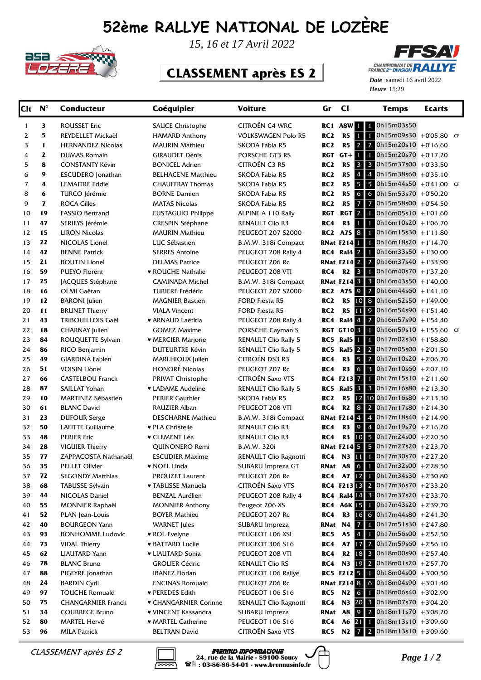## **52ème RALLYE NATIONAL DE LOZÈRE**



*15, 16 et 17 Avril 2022*

## **CLASSEMENT après ES 2**



Heure 15:29 *Date* samedi 16 avril 2022

| Clt      | $N^{\circ}$  | <b>Conducteur</b>                               | Coéquipier                                   | Voiture                                       | Gr              | $cl$                        | <b>Temps</b>                                               | Ecarts |  |
|----------|--------------|-------------------------------------------------|----------------------------------------------|-----------------------------------------------|-----------------|-----------------------------|------------------------------------------------------------|--------|--|
| 1        | 3            | <b>ROUSSET Eric</b>                             | <b>SAUCE Christophe</b>                      | CITROËN C4 WRC                                | RC 1            | A8W 11                      | $1$ 0h15m03s50                                             |        |  |
| 2        | 5            | REYDELLET Mickaël                               | <b>HAMARD Anthony</b>                        | <b>VOLKSWAGEN Polo R5</b>                     | RC <sub>2</sub> | R5                          | 1<br>0h15m09s30 +0'05,80 CF                                |        |  |
| 3        | $\mathbf{1}$ | <b>HERNANDEZ Nicolas</b>                        | <b>MAURIN Mathieu</b>                        | SKODA Fabia R5                                | RC <sub>2</sub> | R5                          | 2 $0h15m20s10 + 0'16,60$<br>$2^{\circ}$                    |        |  |
| 4        | 2            | <b>DUMAS Romain</b>                             | <b>GIRAUDET Denis</b>                        | PORSCHE GT3 RS                                | RGT             | $GT +$                      | 0h15m20s70 +0'17.20<br>1                                   |        |  |
| 5        | 8            | <b>CONSTANTY Kévin</b>                          | <b>BONICEL Adrien</b>                        | <b>CITROËN C3 R5</b>                          | RC <sub>2</sub> | <b>R5</b>                   | 3 3 0h15m37s00 +0'33,50                                    |        |  |
| 6        | 9            | <b>ESCUDERO</b> Jonathan                        | <b>BELHACENE Matthieu</b>                    | SKODA Fabia R5                                | RC <sub>2</sub> | R5                          | $\overline{4}$<br>4 $0h15m38s60 + 0'35,10$                 |        |  |
| 7        | 4            | <b>LEMAITRE Eddie</b>                           | <b>CHAUFFRAY Thomas</b>                      | SKODA Fabia R5                                | RC <sub>2</sub> | R5                          | 5 <sup>1</sup><br>5 $0h15m44s50 + 041,00$ CF               |        |  |
| 8        | 6            | TURCO Jérémie                                   | <b>BORNE Damien</b>                          | SKODA Fabia R5                                | RC <sub>2</sub> | R5                          | $\sigma$<br>6 $0h15m53s70 + 0'50,20$                       |        |  |
| 9        | $\mathbf{z}$ | <b>ROCA Gilles</b>                              | <b>MATAS Nicolas</b>                         | SKODA Fabia R5                                | RC <sub>2</sub> | R5                          | $\overline{7}$<br>7 0h15m58s00 +0'54,50                    |        |  |
| 10       | 19           | <b>FASSIO Bertrand</b>                          | <b>EUSTAGUIO Philippe</b>                    | ALPINE A 110 Rally                            | <b>RGT</b>      | RGT <sub>2</sub>            | 0h16m05s10 + 1'01,60                                       |        |  |
| 11       | 47           | SERIEYS Jérémie                                 | <b>CRESPIN Stéphane</b>                      | RENAULT Clio R3                               | RC4             | R3                          | $1$ 0h16m10s20 +1'06,70<br>$\mathbf{1}$                    |        |  |
| 12       | 15           | <b>LIRON Nicolas</b>                            | <b>MAURIN Mathieu</b>                        | <b>PEUGEOT 207 S2000</b>                      |                 | <b>RC2 A7S 8</b>            | $1$ 0h16m15s30 +1'11,80                                    |        |  |
| 13       | 22           | NICOLAS Lionel                                  | LUC Sébastien                                | B.M.W. 318i Compact                           |                 | <b>RNat F214</b>            | $1$ 0h16m18s20 +1'14,70                                    |        |  |
| 14       | 42           | <b>BENNE Patrick</b>                            | <b>SERRES Antoine</b>                        | PEUGEOT 208 Rally 4                           |                 | <b>RC4 Ral4 2</b>           | $1$ 0h16m33s50 +1'30,00                                    |        |  |
| 15       | 21           | <b>BOUTIN Lionel</b>                            | <b>DELMAS Patrice</b>                        | PEUGEOT 206 Rc                                |                 | <b>RNat F214 2</b>          | 2 $0h16m37s40 + 133,90$                                    |        |  |
| 16       | 59           | <b>PUEYO Florent</b>                            | ♥ ROUCHE Nathalie                            | PEUGEOT 208 VTI                               | RC4             | R <sub>2</sub> 3            | $1$ 0h16m40s70 +1'37,20                                    |        |  |
| 17       | 25           | JACQUES Stéphane                                | <b>CAMINADA Michel</b>                       | B.M.W. 318i Compact                           |                 | <b>RNat F214 3</b>          | $3$ 0h16m43s50 +1'40,00                                    |        |  |
| 18       | 16           | OLMI Gaëtan                                     | <b>TURIERE Frédéric</b>                      | <b>PEUGEOT 207 S2000</b>                      |                 | <b>RC2 A7S 9</b>            | 2 $Oh16m44s60 + 1'41,10$                                   |        |  |
| 19       | 12           | <b>BARONI</b> Julien                            | <b>MAGNIER Bastien</b>                       | FORD Fiesta R5                                | RC <sub>2</sub> | R5 10                       | 8 $0h16m52s50 + 1'49,00$                                   |        |  |
| 20       | 11           | <b>BRUNET Thierry</b>                           | <b>VIALA Vincent</b>                         | FORD Fiesta R5                                | RC <sub>2</sub> | <b>R5</b>                   | 9 $0h16m54s90 + 151,40$<br>11                              |        |  |
| 21       | 43           | TRIBOUILLOIS Gaël                               | ♥ ARNAUD Laëtitia                            | PEUGEOT 208 Rally 4                           | RC4             | Ral4 4                      | 2 0h16m57s90 +1'54,40                                      |        |  |
| 22       | 18           | <b>CHARNAY Julien</b>                           | <b>GOMEZ Maxime</b>                          | PORSCHE Cayman S                              |                 | <b>RGT GT103</b>            | 0h16m59s10 +1'55,60 CF                                     |        |  |
| 23       | 84           | ROUQUETTE Sylvain                               | ♥ MERCIER Marjorie                           | <b>RENAULT Clio Rally 5</b>                   | RC5             | Ral5 <b>1</b>               | 0h17m02s30 +1'58,80                                        |        |  |
| 24       | 86           | RICO Benjamin                                   | <b>DUTEURTRE Kévin</b>                       | <b>RENAULT Clio Rally 5</b>                   | RC5             | <b>Ral5</b> 2               | 2 $0h17m05s00 + 2'01,50$                                   |        |  |
| 25       | 49           | <b>GIARDINA Fabien</b>                          | MARLHIOUX Julien                             | CITROËN DS3 R3                                | RC4             | R <sub>3</sub>              | 5<br>2 $0h17m10s20 + 206,70$                               |        |  |
| 26       | 51           | <b>VOISIN Lionel</b>                            | <b>HONORÉ Nicolas</b>                        | PEUGEOT 207 Rc                                | RC4             | R <sub>3</sub>              | 6<br>$3$ 0h17m10s60 +2'07,10                               |        |  |
| 27       | 66           | <b>CASTELBOU Franck</b>                         | <b>PRIVAT Christophe</b>                     | <b>CITROËN Saxo VTS</b>                       |                 | RC4 F213 7                  | $0h17m15s10 + 2'11,60$<br>1                                |        |  |
| 28       | 87           | SAILLAT Yohan                                   | • LADAME Audeline                            | <b>RENAULT Clio Rally 5</b>                   | RC5             | <b>Ral5 3</b>               | 3 $0h17m16s80 + 2'13,30$                                   |        |  |
| 29       | 10           | <b>MARTINEZ Sébastien</b>                       | <b>PERIER Gauthier</b>                       | SKODA Fabia R5                                | RC2             | R <sub>5</sub><br><b>R2</b> | 12 10 0h17m16s80 +2'13,30<br>8<br>2 $0h17m17s80 + 2'14,30$ |        |  |
| 30       | 61           | <b>BLANC David</b>                              | RAUZIER Alban                                | PEUGEOT 208 VTI                               | RC4             | <b>RNat F2144</b>           | 4 $0h17m18s40 + 2'14,90$                                   |        |  |
| 31<br>32 | 23<br>50     | <b>DUFOUR Serge</b><br><b>LAFITTE Guillaume</b> | <b>DESCHARNE Mathieu</b><br>♥ PLA Christelle | B.M.W. 318i Compact<br><b>RENAULT Clio R3</b> | RC4             | R <sub>3</sub>              | $\mathcal{Q}$<br>$\overline{4}$<br>$0h17m19s70 + 2'16,20$  |        |  |
| 33       | 48           | <b>PERIER Eric</b>                              | ♥ CLEMENT Léa                                | <b>RENAULT Clio R3</b>                        | RC4             | R3                          | 10 5 $0h17m24s00 + 2'20,50$                                |        |  |
| 34       | 28           | <b>VIGUIER Thierry</b>                          | QUINONERO Remi                               | <b>B.M.W. 320i</b>                            |                 |                             | <b>RNat F214 5 5 0h17m27s20</b> +2'23,70                   |        |  |
| 35       | 77           | ZAPPACOSTA Nathanaël                            | <b>ESCUDIER Maxime</b>                       | RENAULT Clio Ragnotti                         | RC4             | N3                          | 11<br>0h17m30s70 +2'27,20                                  |        |  |
| 36       | 35           | <b>PELLET Olivier</b>                           | ♥ NOEL Linda                                 | SUBARU Impreza GT                             |                 |                             | <b>RNat A8 6 1 0h17m32s00</b> +2'28,50                     |        |  |
| 37       | 72           | <b>SEGONDY Matthias</b>                         | PROUZET Laurent                              | PEUGEOT 206 Rc                                | RC4             |                             | A7 $12$ 1 0h17m34s30 +2'30,80                              |        |  |
| 38       | 68           | <b>TABUSSE Sylvain</b>                          | ♥ TABUSSE Manuela                            | <b>CITROËN Saxo VTS</b>                       |                 |                             | RC4 F213 13 2 0h17m36s70 +2'33,20                          |        |  |
| 39       | 44           | NICOLAS Daniel                                  | <b>BENZAL Aurélien</b>                       | PEUGEOT 208 Rally 4                           |                 |                             | <b>RC4 Ral4</b> $[4]$ 3 Oh17m37s20 +2'33,70                |        |  |
| 40       | 55           | <b>MONNIER Raphaël</b>                          | <b>MONNIER Anthony</b>                       | Peugeot 206 XS                                |                 | <b>RC4 A6K 15</b>           | $1$ 0h17m43s20 +2'39,70                                    |        |  |
| 41       | 52           | PLAN Jean-Louis                                 | <b>BOYER Mathieu</b>                         | PEUGEOT 207 Rc                                | RC4             |                             | R3 16 6 0h17m44s80 +2'41,30                                |        |  |
| 42       | 40           | <b>BOURGEON Yann</b>                            | <b>WARNET</b> Jules                          | SUBARU Impreza                                | RNat N4         |                             | $\overline{7}$<br>0h17m51s30 +2'47.80                      |        |  |
| 43       | 93           | <b>BONHOMME Ludovic</b>                         | ♥ ROL Evelyne                                | PEUGEOT 106 XSI                               | RC5             | <b>A5</b>                   | $\overline{4}$<br>0h17m56s00 +2'52,50                      |        |  |
| 44       | 73           | <b>VIDAL Thierry</b>                            | <b>* BATTARD Lucile</b>                      | PEUGEOT 306 S16                               | RC4             | <b>A7</b>                   | 17 2 0h17m59s60 +2'56,10                                   |        |  |
| 45       | 62           | <b>LIAUTARD Yann</b>                            | <b>v LIAUTARD Sonia</b>                      | PEUGEOT 208 VTI                               | RC4             |                             | R2 18 3 0h18m00s90 +2'57,40                                |        |  |
| 46       | 78           | <b>BLANC Bruno</b>                              | <b>GROLIER Cédric</b>                        | RENAULT Clio RS                               | RC4             |                             | N3 19 2 0h18m01s20 +2'57,70                                |        |  |
| 47       | 88           | PIGEYRE Jonathan                                | <b>IBANEZ Florian</b>                        | PEUGEOT 106 Rallye                            |                 | RC5 F212 5                  | $1$ 0h18m04s00 +3'00,50                                    |        |  |
| 48       | 24           | <b>BARDIN Cyril</b>                             | <b>ENCINAS Romuald</b>                       | PEUGEOT 206 Rc                                |                 |                             | <b>RNat F214 8</b> 6 0h18m04s90 +3'01,40                   |        |  |
| 49       | 97           | <b>TOUCHE Romuald</b>                           | ♥ PEREDES Edith                              | PEUGEOT 106 S16                               | RC5             | N <sub>2</sub> 6            | $1$ 0h18m06s40 +3'02,90                                    |        |  |
| 50       | 75           | <b>CHANGARNIER Franck</b>                       | ▼ CHANGARNIER Corinne                        | RENAULT Clio Ragnotti                         | RC4             |                             | N3 20 3 0h18m07s70 +3'04,20                                |        |  |
| 51       | 34           | <b>COURREGE Bruno</b>                           | ♥ VINCENT Kassandra                          | SUBARU Impreza                                | RNat A8         |                             | 2 $0h18m11s70 + 3'08,20$<br>9                              |        |  |
| 52       | 80           | <b>MARTEL Hervé</b>                             | ♥ MARTEL Catherine                           | PEUGEOT 106 S16                               | RC4             | A6 21                       | $0h18m13s10 + 3'09,60$<br>$\mathbf{1}$                     |        |  |
| 53       | 96           | <b>MILA Patrick</b>                             | <b>BELTRAN David</b>                         | CITROËN Saxo VTS                              | RC5             | N2                          | $7\,$ 2 0h18m13s10 +3'09,60                                |        |  |



*CLASSEMENT après ES 2* **Brennus informatique**<br>24, rue de la Mairie - 89100 Soucy<br>28 : 03-86-86-54-01 - www.brennusinfo.fr